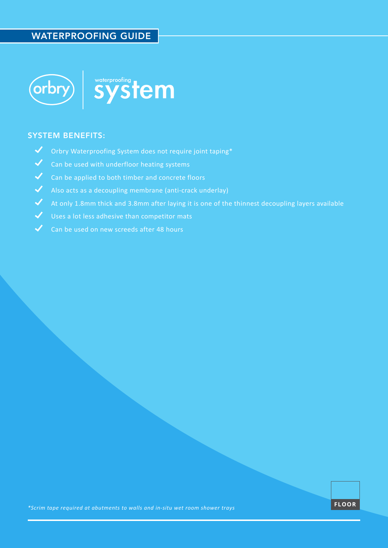## WATERPROOFING GUIDE



### SYSTEM BENEFITS:

- $\blacktriangledown$ Orbry Waterproofing System does not require joint taping\*
- $\blacktriangledown$ Can be used with underfloor heating systems
- ◆ Can be applied to both timber and concrete floors
- $\boldsymbol{\mathcal{N}}$ Also acts as a decoupling membrane (anti-crack underlay)
- $\blacktriangledown$ At only 1.8mm thick and 3.8mm after laying it is one of the thinnest decoupling layers available
- $\boldsymbol{\mathcal{J}}$ Uses a lot less adhesive than competitor mats
- $\checkmark$ Can be used on new screeds after 48 hours

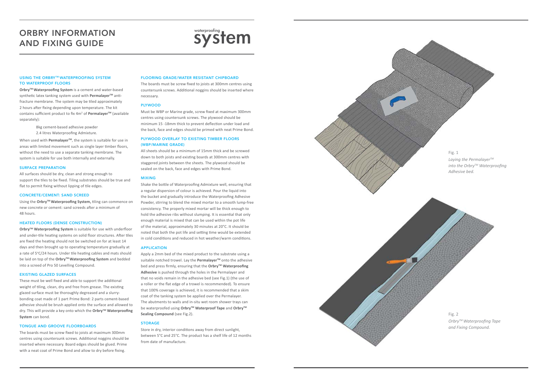#### USING THE ORBRY™ WATERPROOFING SYSTEM TO WATERPROOF FLOORS

**OrbryTM Waterproofing System** is a cement and water-based synthetic latex tanking system used with **Permalayer**<sup>™</sup> antifracture membrane. The system may be tiled approximately 2 hours after fixing depending upon temperature. The kit contains sufficient product to fix 4m<sup>2</sup> of Permalayer<sup>™</sup> (available separately):

> 8kg cement-based adhesive powder 2.4 litres Waterproofing Admixture.

When used with **PermalayerTM**, the system is suitable for use in areas with limited movement such as single layer timber floors, without the need to use a separate tanking membrane. The system is suitable for use both internally and externally.

#### SURFACE PREPARATION

**Orbry<sup>™</sup> Waterproofing System** is suitable for use with underfloor and under-tile heating systems on solid floor structures. After tiles are fixed the heating should not be switched on for at least 14 days and then brought up to operating temperature gradually at a rate of 5°C/24 hours. Under tile heating cables and mats should be laid on top of the Orbry<sup>™</sup> Waterproofing System and bedded into a screed of Pro 50 Levelling Compound.

All surfaces should be dry, clean and strong enough to support the tiles to be fixed. Tiling substrates should be true and flat to permit fixing without lipping of tile edges.

#### CONCRETE/CEMENT: SAND SCREED

Using the **OrbryTM Waterproofing System,** tiling can commence on new concrete or cement: sand screeds after a minimum of 48 hours.

#### HEATED FLOORS (DENSE CONSTRUCTION)

#### EXISTING GLAZED SURFACES

These must be well fixed and able to support the additional weight of tiling, clean, dry and free from grease. The existing glazed surface must be thoroughly degreased and a slurrybonding coat made of 1 part Prime Bond: 2 parts cement-based adhesive should be brush applied onto the surface and allowed to dry. This will provide a key onto which the **OrbryTM Waterproofing System** can bond.

#### TONGUE AND GROOVE FLOORBOARDS

The boards must be screw fixed to joists at maximum 300mm centres using countersunk screws. Additional noggins should be inserted where necessary. Board edges should be glued. Prime with a neat coat of Prime Bond and allow to dry before fixing.

# ORBRY INFORMATION ORBRY INFORMATION<br>
AND FIXING GUIDE System

#### FLOORING GRADE/WATER RESISTANT CHIPBOARD

The boards must be screw fixed to joists at 300mm centres using countersunk screws. Additional noggins should be inserted where necessary.

#### PLYWOOD

Must be WBP or Marine grade, screw fixed at maximum 300mm centres using countersunk screws. The plywood should be minimum 15 -18mm thick to prevent deflection under load and the back, face and edges should be primed with neat Prime Bond.

#### PLYWOOD OVERLAY TO EXISTING TIMBER FLOORS (WBP/MARINE GRADE)

All sheets should be a minimum of 15mm thick and be screwed down to both joists and existing boards at 300mm centres with staggered joints between the sheets. The plywood should be sealed on the back, face and edges with Prime Bond.

#### MIXING

Shake the bottle of Waterproofing Admixture well, ensuring that a regular dispersion of colour is achieved. Pour the liquid into the bucket and gradually introduce the Waterproofing Adhesive Powder, stirring to blend the mixed mortar to a smooth lump-free consistency. The properly mixed mortar will be thick enough to hold the adhesive ribs without slumping. It is essential that only enough material is mixed that can be used within the pot life of the material, approximately 30 minutes at 20°C. It should be noted that both the pot life and setting time would be extended in cold conditions and reduced in hot weather/warm conditions.

#### APPLICATION

Apply a 2mm bed of the mixed product to the substrate using a suitable notched trowel. Lay the **Permalayer**<sup>™</sup> onto the adhesive bed and press firmly, ensuring that the **OrbryTM Waterproofing Adhesive** is pushed through the holes in the Permalayer and that no voids remain in the adhesive bed (see Fig.1) (the use of a roller or the flat edge of a trowel is recommended). To ensure that 100% coverage is achieved, it is recommended that a skim coat of the tanking system be applied over the Permalayer. The abutments to walls and in-situ wet room shower trays can be waterproofed using **OrbryTM Waterproof Tape** and **OrbryTM Sealing Compound** (see Fig.2).

#### STORAGE

Store in dry, interior conditions away from direct sunlight, between 5°C and 25°C. The product has a shelf life of 12 months from date of manufacture.

*into the OrbryTM Waterproofing*